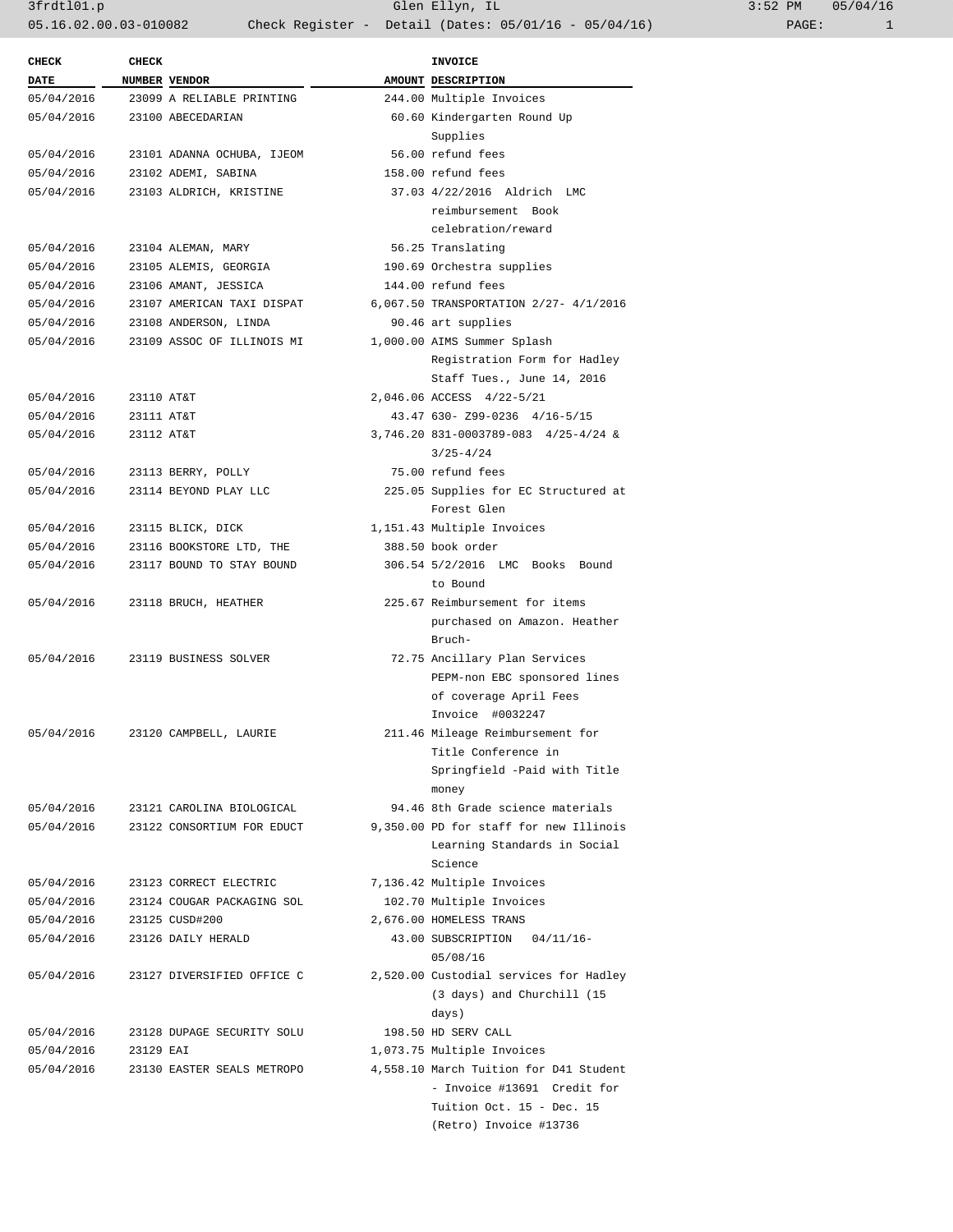3frdtl01.p Glen Ellyn, IL 3:52 PM 05/04/16 05.16.02.00.03-010082 Check Register - Detail (Dates: 05/01/16 - 05/04/16)

| <b>CHECK</b> | <b>CHECK</b> |                                  |          | <b>INVOICE</b>                         |
|--------------|--------------|----------------------------------|----------|----------------------------------------|
| <b>DATE</b>  |              | NUMBER VENDOR                    |          | AMOUNT DESCRIPTION                     |
| 05/04/2016   |              | 23099 A RELIABLE PRINTING        |          | 244.00 Multiple Invoices               |
| 05/04/2016   |              | 23100 ABECEDARIAN                |          | 60.60 Kindergarten Round Up            |
|              |              |                                  | Supplies |                                        |
| 05/04/2016   |              | 23101 ADANNA OCHUBA, IJEOM       |          | 56.00 refund fees                      |
| 05/04/2016   |              | 23102 ADEMI, SABINA              |          | 158.00 refund fees                     |
| 05/04/2016   |              | 23103 ALDRICH, KRISTINE          |          | 37.03 4/22/2016 Aldrich LMC            |
|              |              |                                  |          |                                        |
|              |              |                                  |          | reimbursement Book                     |
|              |              |                                  |          | celebration/reward                     |
| 05/04/2016   |              | 23104 ALEMAN, MARY               |          | 56.25 Translating                      |
| 05/04/2016   |              | 23105 ALEMIS, GEORGIA            |          | 190.69 Orchestra supplies              |
| 05/04/2016   |              | 23106 AMANT, JESSICA             |          | 144.00 refund fees                     |
| 05/04/2016   |              | 23107 AMERICAN TAXI DISPAT       |          | 6,067.50 TRANSPORTATION 2/27- 4/1/2016 |
| 05/04/2016   |              | 23108 ANDERSON, LINDA            |          | 90.46 art supplies                     |
| 05/04/2016   |              | 23109 ASSOC OF ILLINOIS MI       |          | 1,000.00 AIMS Summer Splash            |
|              |              |                                  |          | Registration Form for Hadley           |
|              |              |                                  |          | Staff Tues., June 14, 2016             |
| 05/04/2016   | 23110 AT&T   |                                  |          | 2,046.06 ACCESS 4/22-5/21              |
| 05/04/2016   | 23111 AT&T   |                                  |          | 43.47 630- Z99-0236 4/16-5/15          |
| 05/04/2016   | 23112 AT&T   |                                  |          | 3,746.20 831-0003789-083 4/25-4/24 &   |
|              |              |                                  |          | $3/25 - 4/24$                          |
| 05/04/2016   |              | 23113 BERRY, POLLY               |          | 75.00 refund fees                      |
| 05/04/2016   |              | 23114 BEYOND PLAY LLC            |          | 225.05 Supplies for EC Structured at   |
|              |              |                                  |          | Forest Glen                            |
| 05/04/2016   |              | 23115 BLICK, DICK                |          | 1,151.43 Multiple Invoices             |
|              |              |                                  |          | 388.50 book order                      |
| 05/04/2016   |              | 23116 BOOKSTORE LTD, THE         |          |                                        |
| 05/04/2016   |              | 23117 BOUND TO STAY BOUND        |          | 306.54 5/2/2016 LMC Books Bound        |
|              |              |                                  |          | to Bound                               |
| 05/04/2016   |              | 23118 BRUCH, HEATHER             |          | 225.67 Reimbursement for items         |
|              |              |                                  |          | purchased on Amazon. Heather           |
|              |              |                                  |          | Bruch-                                 |
|              |              | 05/04/2016 23119 BUSINESS SOLVER |          | 72.75 Ancillary Plan Services          |
|              |              |                                  |          | PEPM-non EBC sponsored lines           |
|              |              |                                  |          | of coverage April Fees                 |
|              |              |                                  |          | Invoice #0032247                       |
| 05/04/2016   |              | 23120 CAMPBELL, LAURIE           |          | 211.46 Mileage Reimbursement for       |
|              |              |                                  |          | Title Conference in                    |
|              |              |                                  |          | Springfield -Paid with Title           |
|              |              |                                  |          | money                                  |
| 05/04/2016   |              | 23121 CAROLINA BIOLOGICAL        |          | 94.46 8th Grade science materials      |
| 05/04/2016   |              | 23122 CONSORTIUM FOR EDUCT       |          | 9,350.00 PD for staff for new Illinois |
|              |              |                                  |          | Learning Standards in Social           |
|              |              |                                  |          | Science                                |
| 05/04/2016   |              | 23123 CORRECT ELECTRIC           |          | 7,136.42 Multiple Invoices             |
| 05/04/2016   |              | 23124 COUGAR PACKAGING SOL       |          | 102.70 Multiple Invoices               |
|              |              |                                  |          |                                        |
| 05/04/2016   |              | 23125 CUSD#200                   |          | 2,676.00 HOMELESS TRANS                |
| 05/04/2016   |              | 23126 DAILY HERALD               |          | 43.00 SUBSCRIPTION<br>$04/11/16 -$     |
|              |              |                                  |          | 05/08/16                               |
| 05/04/2016   |              | 23127 DIVERSIFIED OFFICE C       |          | 2,520.00 Custodial services for Hadley |
|              |              |                                  |          | (3 days) and Churchill (15             |
|              |              |                                  |          | days)                                  |
| 05/04/2016   |              | 23128 DUPAGE SECURITY SOLU       |          | 198.50 HD SERV CALL                    |
| 05/04/2016   | 23129 EAI    |                                  |          | 1,073.75 Multiple Invoices             |
| 05/04/2016   |              | 23130 EASTER SEALS METROPO       |          | 4,558.10 March Tuition for D41 Student |
|              |              |                                  |          | - Invoice #13691 Credit for            |
|              |              |                                  |          | Tuition Oct. 15 - Dec. 15              |
|              |              |                                  |          | (Retro) Invoice #13736                 |
|              |              |                                  |          |                                        |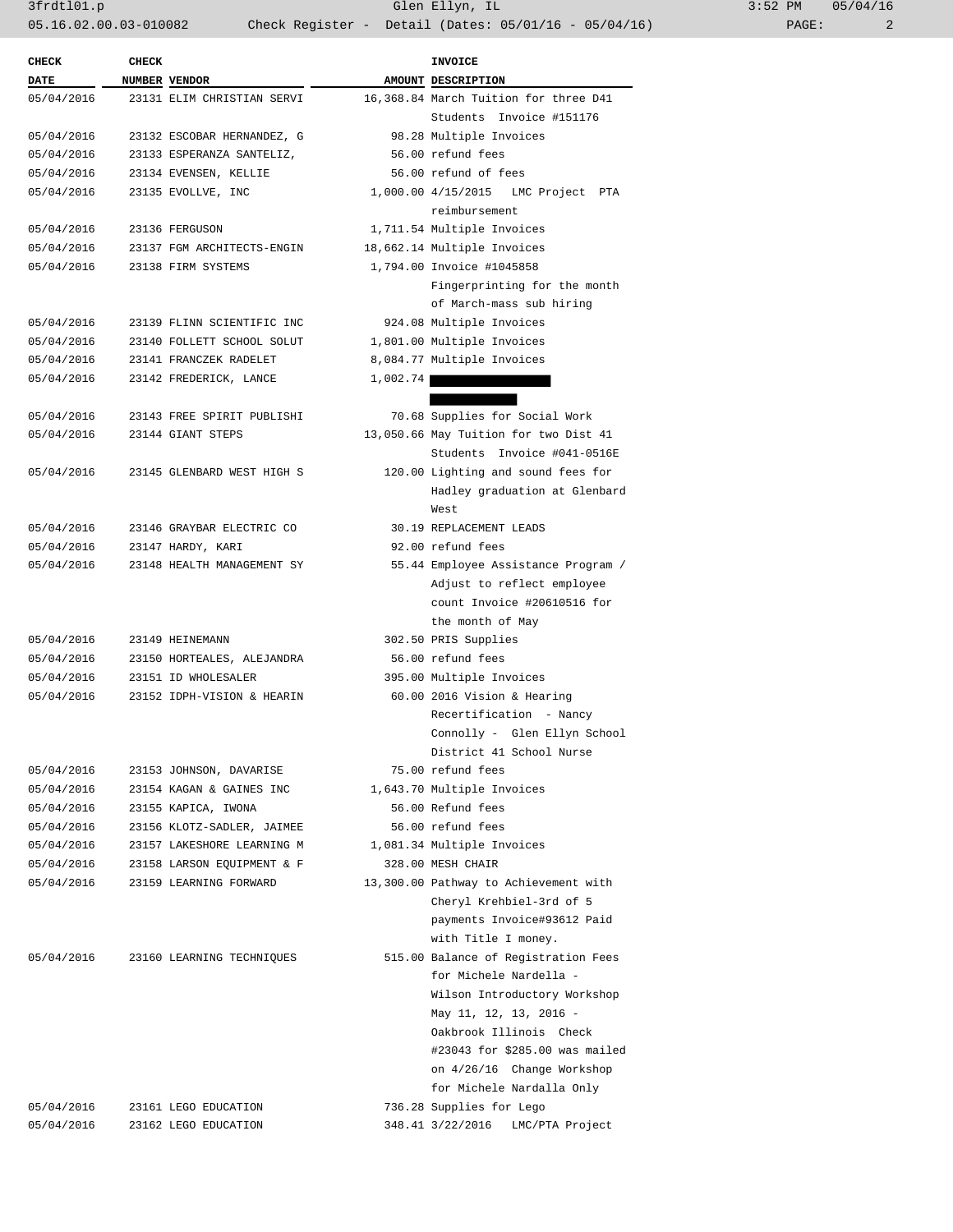3frdtl01.p Glen Ellyn, IL 3:52 PM 05/04/16 05.16.02.00.03-010082 Check Register - Detail (Dates: 05/01/16 - 05/04/16) PAGE: 2

| <b>CHECK</b> | <b>CHECK</b> |                            | <b>INVOICE</b>                        |  |
|--------------|--------------|----------------------------|---------------------------------------|--|
| <b>DATE</b>  |              | NUMBER VENDOR              | AMOUNT DESCRIPTION                    |  |
| 05/04/2016   |              | 23131 ELIM CHRISTIAN SERVI | 16,368.84 March Tuition for three D41 |  |
|              |              |                            | Students Invoice #151176              |  |
| 05/04/2016   |              | 23132 ESCOBAR HERNANDEZ, G | 98.28 Multiple Invoices               |  |
| 05/04/2016   |              | 23133 ESPERANZA SANTELIZ,  | 56.00 refund fees                     |  |
| 05/04/2016   |              | 23134 EVENSEN, KELLIE      | 56.00 refund of fees                  |  |
| 05/04/2016   |              | 23135 EVOLLVE, INC         | 1,000.00 4/15/2015 LMC Project PTA    |  |
|              |              |                            | reimbursement                         |  |
| 05/04/2016   |              | 23136 FERGUSON             | 1,711.54 Multiple Invoices            |  |
| 05/04/2016   |              | 23137 FGM ARCHITECTS-ENGIN | 18,662.14 Multiple Invoices           |  |
| 05/04/2016   |              | 23138 FIRM SYSTEMS         | 1,794.00 Invoice #1045858             |  |
|              |              |                            | Fingerprinting for the month          |  |
|              |              |                            | of March-mass sub hiring              |  |
| 05/04/2016   |              | 23139 FLINN SCIENTIFIC INC | 924.08 Multiple Invoices              |  |
| 05/04/2016   |              | 23140 FOLLETT SCHOOL SOLUT | 1,801.00 Multiple Invoices            |  |
| 05/04/2016   |              | 23141 FRANCZEK RADELET     | 8,084.77 Multiple Invoices            |  |
| 05/04/2016   |              | 23142 FREDERICK, LANCE     | 1,002.74                              |  |
|              |              |                            |                                       |  |
| 05/04/2016   |              | 23143 FREE SPIRIT PUBLISHI | 70.68 Supplies for Social Work        |  |
| 05/04/2016   |              | 23144 GIANT STEPS          | 13,050.66 May Tuition for two Dist 41 |  |
|              |              |                            | Students Invoice #041-0516E           |  |
| 05/04/2016   |              | 23145 GLENBARD WEST HIGH S | 120.00 Lighting and sound fees for    |  |
|              |              |                            | Hadley graduation at Glenbard         |  |
|              |              |                            | West                                  |  |
| 05/04/2016   |              | 23146 GRAYBAR ELECTRIC CO  | 30.19 REPLACEMENT LEADS               |  |
| 05/04/2016   |              | 23147 HARDY, KARI          | 92.00 refund fees                     |  |
| 05/04/2016   |              | 23148 HEALTH MANAGEMENT SY | 55.44 Employee Assistance Program /   |  |
|              |              |                            | Adjust to reflect employee            |  |
|              |              |                            | count Invoice #20610516 for           |  |
|              |              |                            | the month of May                      |  |
| 05/04/2016   |              | 23149 HEINEMANN            | 302.50 PRIS Supplies                  |  |
| 05/04/2016   |              | 23150 HORTEALES, ALEJANDRA | 56.00 refund fees                     |  |
| 05/04/2016   |              | 23151 ID WHOLESALER        | 395.00 Multiple Invoices              |  |
| 05/04/2016   |              | 23152 IDPH-VISION & HEARIN | 60.00 2016 Vision & Hearing           |  |
|              |              |                            | Recertification - Nancy               |  |
|              |              |                            | Connolly - Glen Ellyn School          |  |
|              |              |                            | District 41 School Nurse              |  |
| 05/04/2016   |              | 23153 JOHNSON, DAVARISE    | 75.00 refund fees                     |  |
| 05/04/2016   |              | 23154 KAGAN & GAINES INC   | 1,643.70 Multiple Invoices            |  |
| 05/04/2016   |              | 23155 KAPICA, IWONA        | 56.00 Refund fees                     |  |
| 05/04/2016   |              | 23156 KLOTZ-SADLER, JAIMEE | 56.00 refund fees                     |  |
| 05/04/2016   |              | 23157 LAKESHORE LEARNING M | 1,081.34 Multiple Invoices            |  |
| 05/04/2016   |              | 23158 LARSON EQUIPMENT & F | 328.00 MESH CHAIR                     |  |
| 05/04/2016   |              | 23159 LEARNING FORWARD     | 13,300.00 Pathway to Achievement with |  |
|              |              |                            | Cheryl Krehbiel-3rd of 5              |  |
|              |              |                            | payments Invoice#93612 Paid           |  |
|              |              |                            | with Title I money.                   |  |
| 05/04/2016   |              | 23160 LEARNING TECHNIQUES  | 515.00 Balance of Registration Fees   |  |
|              |              |                            | for Michele Nardella -                |  |
|              |              |                            | Wilson Introductory Workshop          |  |
|              |              |                            | May 11, 12, 13, 2016 -                |  |
|              |              |                            | Oakbrook Illinois Check               |  |
|              |              |                            | #23043 for \$285.00 was mailed        |  |
|              |              |                            | on 4/26/16 Change Workshop            |  |
|              |              |                            | for Michele Nardalla Only             |  |
| 05/04/2016   |              | 23161 LEGO EDUCATION       | 736.28 Supplies for Lego              |  |
| 05/04/2016   |              | 23162 LEGO EDUCATION       | 348.41 3/22/2016<br>LMC/PTA Project   |  |
|              |              |                            |                                       |  |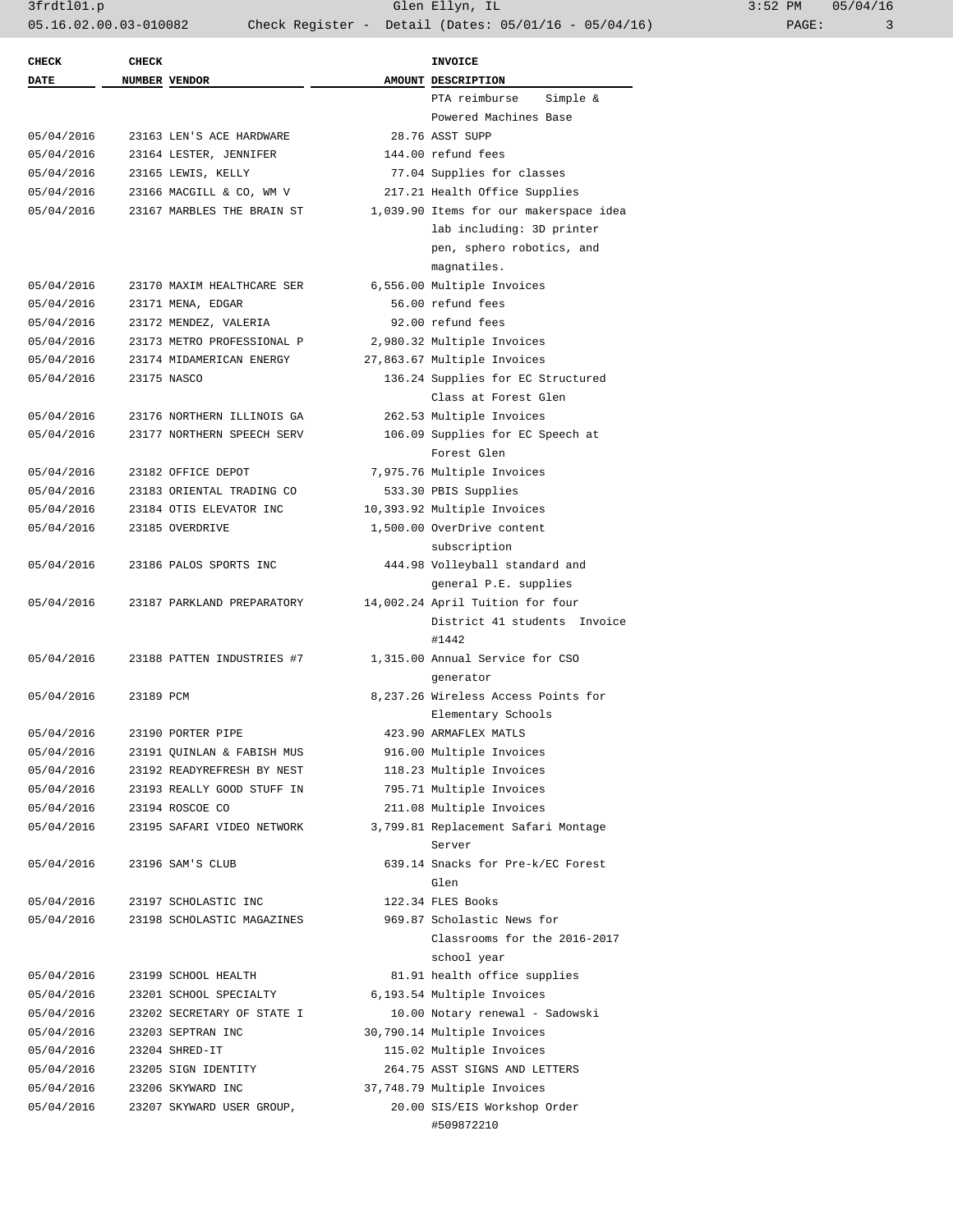3frdtl01.p Glen Ellyn, IL 3:52 PM 05/04/16 05.16.02.00.03-010082 Check Register - Detail (Dates: 05/01/16 - 05/04/16) PAGE: 3

| <b>CHECK</b> | <b>CHECK</b> |                            | <b>INVOICE</b>                         |  |
|--------------|--------------|----------------------------|----------------------------------------|--|
| <b>DATE</b>  |              | NUMBER VENDOR              | AMOUNT DESCRIPTION                     |  |
|              |              |                            | PTA reimburse<br>Simple &              |  |
|              |              |                            | Powered Machines Base                  |  |
| 05/04/2016   |              | 23163 LEN'S ACE HARDWARE   | 28.76 ASST SUPP                        |  |
| 05/04/2016   |              | 23164 LESTER, JENNIFER     | 144.00 refund fees                     |  |
| 05/04/2016   |              | 23165 LEWIS, KELLY         | 77.04 Supplies for classes             |  |
| 05/04/2016   |              | 23166 MACGILL & CO, WM V   | 217.21 Health Office Supplies          |  |
| 05/04/2016   |              | 23167 MARBLES THE BRAIN ST | 1,039.90 Items for our makerspace idea |  |
|              |              |                            | lab including: 3D printer              |  |
|              |              |                            | pen, sphero robotics, and              |  |
|              |              |                            | magnatiles.                            |  |
| 05/04/2016   |              | 23170 MAXIM HEALTHCARE SER | 6,556.00 Multiple Invoices             |  |
| 05/04/2016   |              | 23171 MENA, EDGAR          | 56.00 refund fees                      |  |
| 05/04/2016   |              | 23172 MENDEZ, VALERIA      | 92.00 refund fees                      |  |
| 05/04/2016   |              | 23173 METRO PROFESSIONAL P | 2,980.32 Multiple Invoices             |  |
| 05/04/2016   |              | 23174 MIDAMERICAN ENERGY   | 27,863.67 Multiple Invoices            |  |
| 05/04/2016   |              | 23175 NASCO                | 136.24 Supplies for EC Structured      |  |
|              |              |                            | Class at Forest Glen                   |  |
| 05/04/2016   |              | 23176 NORTHERN ILLINOIS GA | 262.53 Multiple Invoices               |  |
| 05/04/2016   |              | 23177 NORTHERN SPEECH SERV | 106.09 Supplies for EC Speech at       |  |
|              |              |                            | Forest Glen                            |  |
| 05/04/2016   |              | 23182 OFFICE DEPOT         | 7,975.76 Multiple Invoices             |  |
| 05/04/2016   |              | 23183 ORIENTAL TRADING CO  | 533.30 PBIS Supplies                   |  |
| 05/04/2016   |              | 23184 OTIS ELEVATOR INC    | 10,393.92 Multiple Invoices            |  |
| 05/04/2016   |              | 23185 OVERDRIVE            | 1,500.00 OverDrive content             |  |
|              |              |                            | subscription                           |  |
| 05/04/2016   |              | 23186 PALOS SPORTS INC     | 444.98 Volleyball standard and         |  |
|              |              |                            | general P.E. supplies                  |  |
| 05/04/2016   |              | 23187 PARKLAND PREPARATORY | 14,002.24 April Tuition for four       |  |
|              |              |                            | District 41 students Invoice           |  |
|              |              |                            |                                        |  |
|              |              |                            | #1442                                  |  |
| 05/04/2016   |              | 23188 PATTEN INDUSTRIES #7 | 1,315.00 Annual Service for CSO        |  |
|              |              |                            | generator                              |  |
| 05/04/2016   | 23189 PCM    |                            | 8,237.26 Wireless Access Points for    |  |
|              |              |                            | Elementary Schools                     |  |
| 05/04/2016   |              | 23190 PORTER PIPE          | 423.90 ARMAFLEX MATLS                  |  |
| 05/04/2016   |              | 23191 QUINLAN & FABISH MUS | 916.00 Multiple Invoices               |  |
| 05/04/2016   |              | 23192 READYREFRESH BY NEST | 118.23 Multiple Invoices               |  |
| 05/04/2016   |              | 23193 REALLY GOOD STUFF IN | 795.71 Multiple Invoices               |  |
| 05/04/2016   |              | 23194 ROSCOE CO            | 211.08 Multiple Invoices               |  |
| 05/04/2016   |              | 23195 SAFARI VIDEO NETWORK | 3,799.81 Replacement Safari Montage    |  |
|              |              |                            | Server                                 |  |
| 05/04/2016   |              | 23196 SAM'S CLUB           | 639.14 Snacks for Pre-k/EC Forest      |  |
|              |              |                            | Glen                                   |  |
| 05/04/2016   |              | 23197 SCHOLASTIC INC       | 122.34 FLES Books                      |  |
| 05/04/2016   |              | 23198 SCHOLASTIC MAGAZINES | 969.87 Scholastic News for             |  |
|              |              |                            | Classrooms for the 2016-2017           |  |
|              |              |                            | school year                            |  |
| 05/04/2016   |              | 23199 SCHOOL HEALTH        | 81.91 health office supplies           |  |
| 05/04/2016   |              | 23201 SCHOOL SPECIALTY     | 6,193.54 Multiple Invoices             |  |
| 05/04/2016   |              | 23202 SECRETARY OF STATE I | 10.00 Notary renewal - Sadowski        |  |
| 05/04/2016   |              | 23203 SEPTRAN INC          | 30,790.14 Multiple Invoices            |  |
| 05/04/2016   |              | 23204 SHRED-IT             | 115.02 Multiple Invoices               |  |
| 05/04/2016   |              | 23205 SIGN IDENTITY        | 264.75 ASST SIGNS AND LETTERS          |  |
| 05/04/2016   |              | 23206 SKYWARD INC          | 37,748.79 Multiple Invoices            |  |
| 05/04/2016   |              | 23207 SKYWARD USER GROUP,  | 20.00 SIS/EIS Workshop Order           |  |
|              |              |                            |                                        |  |
|              |              |                            | #509872210                             |  |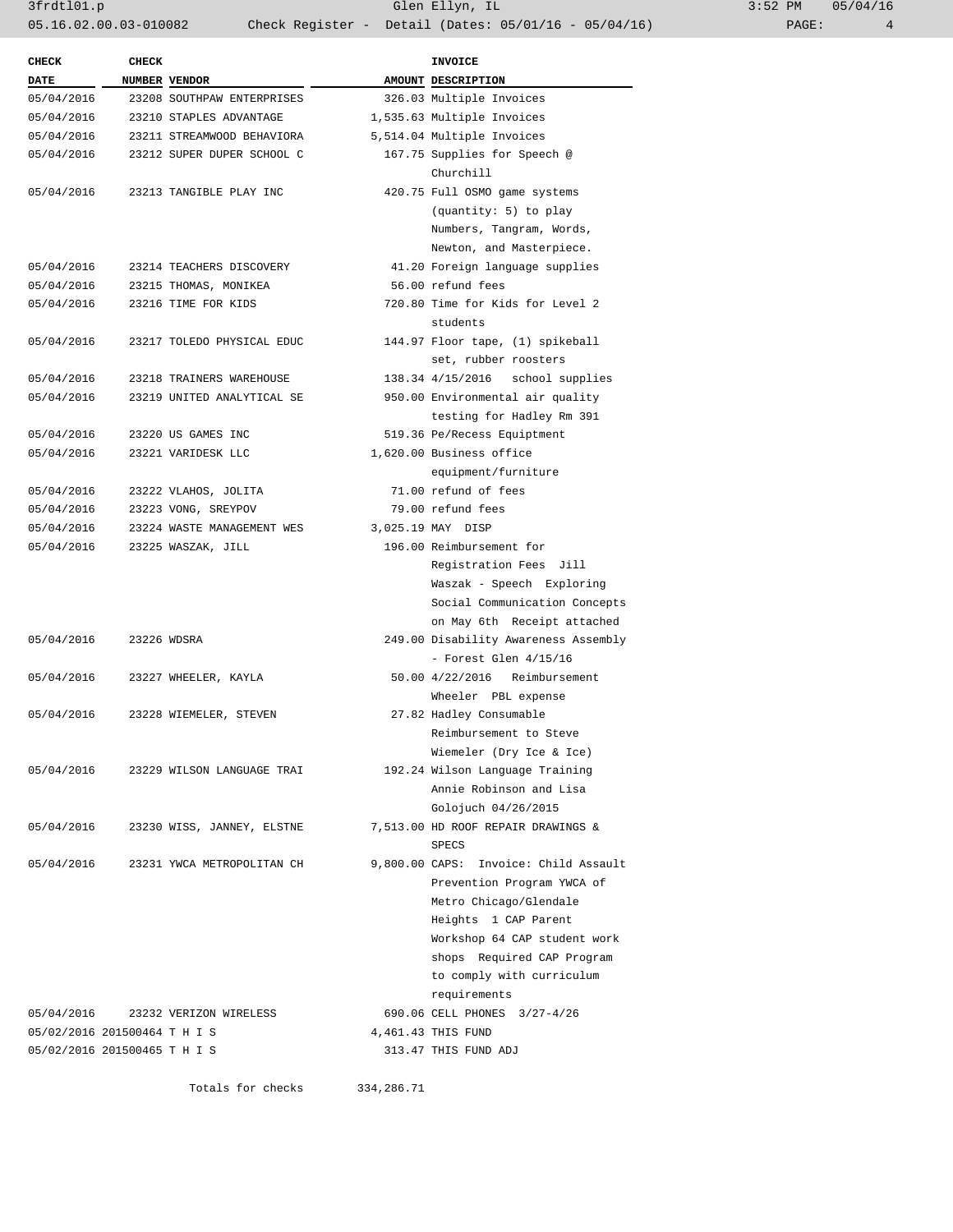3frdtl01.p Glen Ellyn, IL 3:52 PM 05/04/16 05.16.02.00.03-010082 Check Register - Detail (Dates: 05/01/16 - 05/04/16) PAGE: 4

| <b>CHECK</b> | <b>CHECK</b>                          | <b>INVOICE</b>                                              |
|--------------|---------------------------------------|-------------------------------------------------------------|
| <b>DATE</b>  | NUMBER VENDOR                         | AMOUNT DESCRIPTION                                          |
| 05/04/2016   | 23208 SOUTHPAW ENTERPRISES            | 326.03 Multiple Invoices                                    |
| 05/04/2016   | 23210 STAPLES ADVANTAGE               | 1,535.63 Multiple Invoices                                  |
| 05/04/2016   | 23211 STREAMWOOD BEHAVIORA            | 5,514.04 Multiple Invoices                                  |
| 05/04/2016   | 23212 SUPER DUPER SCHOOL C            | 167.75 Supplies for Speech @                                |
|              |                                       | Churchill                                                   |
| 05/04/2016   | 23213 TANGIBLE PLAY INC               | 420.75 Full OSMO game systems                               |
|              |                                       | (quantity: 5) to play                                       |
|              |                                       | Numbers, Tangram, Words,                                    |
|              |                                       | Newton, and Masterpiece.                                    |
| 05/04/2016   | 23214 TEACHERS DISCOVERY              | 41.20 Foreign language supplies                             |
| 05/04/2016   | 23215 THOMAS, MONIKEA                 | 56.00 refund fees                                           |
| 05/04/2016   | 23216 TIME FOR KIDS                   | 720.80 Time for Kids for Level 2                            |
|              |                                       | students                                                    |
| 05/04/2016   | 23217 TOLEDO PHYSICAL EDUC            | 144.97 Floor tape, (1) spikeball                            |
|              |                                       | set, rubber roosters                                        |
| 05/04/2016   | 23218 TRAINERS WAREHOUSE              | 138.34 4/15/2016 school supplies                            |
| 05/04/2016   | 23219 UNITED ANALYTICAL SE            | 950.00 Environmental air quality                            |
|              |                                       | testing for Hadley Rm 391                                   |
| 05/04/2016   | 23220 US GAMES INC                    | 519.36 Pe/Recess Equiptment                                 |
| 05/04/2016   | 23221 VARIDESK LLC                    | 1,620.00 Business office                                    |
|              |                                       | equipment/furniture                                         |
| 05/04/2016   | 23222 VLAHOS, JOLITA                  | 71.00 refund of fees                                        |
| 05/04/2016   | 23223 VONG, SREYPOV                   | 79.00 refund fees                                           |
| 05/04/2016   | 23224 WASTE MANAGEMENT WES            | 3,025.19 MAY DISP                                           |
| 05/04/2016   | 23225 WASZAK, JILL                    | 196.00 Reimbursement for                                    |
|              |                                       | Registration Fees Jill                                      |
|              |                                       | Waszak - Speech Exploring                                   |
|              |                                       | Social Communication Concepts                               |
|              |                                       | on May 6th Receipt attached                                 |
| 05/04/2016   | 23226 WDSRA                           | 249.00 Disability Awareness Assembly                        |
|              |                                       | - Forest Glen $4/15/16$                                     |
| 05/04/2016   | 23227 WHEELER, KAYLA                  | 50.00 4/22/2016 Reimbursement                               |
|              |                                       | Wheeler PBL expense                                         |
| 05/04/2016   | 23228 WIEMELER, STEVEN                | 27.82 Hadley Consumable                                     |
|              |                                       | Reimbursement to Steve                                      |
|              |                                       |                                                             |
|              | 05/04/2016 23229 WILSON LANGUAGE TRAI | Wiemeler (Dry Ice & Ice)<br>192.24 Wilson Language Training |
|              |                                       | Annie Robinson and Lisa                                     |
|              |                                       | Golojuch 04/26/2015                                         |
|              |                                       |                                                             |
| 05/04/2016   | 23230 WISS, JANNEY, ELSTNE            | 7,513.00 HD ROOF REPAIR DRAWINGS &                          |
| 05/04/2016   | 23231 YWCA METROPOLITAN CH            | SPECS                                                       |
|              |                                       | 9,800.00 CAPS: Invoice: Child Assault                       |
|              |                                       | Prevention Program YWCA of                                  |
|              |                                       | Metro Chicago/Glendale                                      |
|              |                                       | Heights 1 CAP Parent                                        |
|              |                                       | Workshop 64 CAP student work                                |
|              |                                       | shops Required CAP Program                                  |
|              |                                       | to comply with curriculum                                   |
|              |                                       | requirements                                                |
|              | 05/04/2016 23232 VERIZON WIRELESS     | 690.06 CELL PHONES 3/27-4/26                                |
|              | 05/02/2016 201500464 T H I S          | 4,461.43 THIS FUND                                          |
|              | 05/02/2016 201500465 T H I S          | 313.47 THIS FUND ADJ                                        |
|              |                                       |                                                             |

Totals for checks 334,286.71